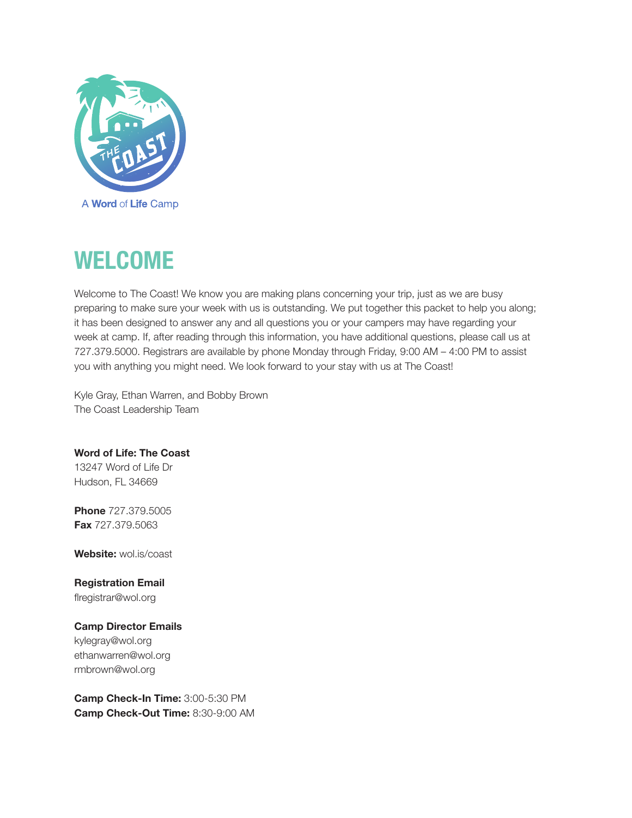

# WELCOME

Welcome to The Coast! We know you are making plans concerning your trip, just as we are busy preparing to make sure your week with us is outstanding. We put together this packet to help you along; it has been designed to answer any and all questions you or your campers may have regarding your week at camp. If, after reading through this information, you have additional questions, please call us at 727.379.5000. Registrars are available by phone Monday through Friday, 9:00 AM – 4:00 PM to assist you with anything you might need. We look forward to your stay with us at The Coast!

Kyle Gray, Ethan Warren, and Bobby Brown The Coast Leadership Team

## Word of Life: The Coast

13247 Word of Life Dr Hudson, FL 34669

**Phone 727,379,5005 Fax** 727.379.5063

Website: wol.is/coast

Registration Email flregistrar@wol.org

### Camp Director Emails

kylegray@wol.org ethanwarren@wol.org rmbrown@wol.org

Camp Check-In Time: 3:00-5:30 PM Camp Check-Out Time: 8:30-9:00 AM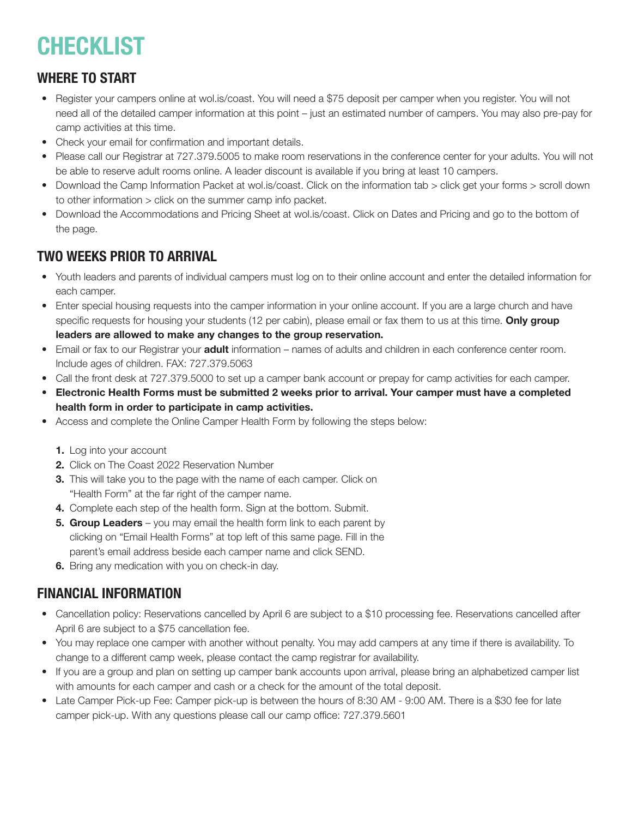# CHECKLIST

## WHERE TO START

- Register your campers online at wol.is/coast. You will need a \$75 deposit per camper when you register. You will not need all of the detailed camper information at this point – just an estimated number of campers. You may also pre-pay for camp activities at this time.
- Check your email for confirmation and important details.
- Please call our Registrar at 727.379.5005 to make room reservations in the conference center for your adults. You will not be able to reserve adult rooms online. A leader discount is available if you bring at least 10 campers.
- Download the Camp Information Packet at wol.is/coast. Click on the information tab > click get your forms > scroll down to other information > click on the summer camp info packet.
- Download the Accommodations and Pricing Sheet at wol.is/coast. Click on Dates and Pricing and go to the bottom of the page.

## TWO WEEKS PRIOR TO ARRIVAL

- Youth leaders and parents of individual campers must log on to their online account and enter the detailed information for each camper.
- Enter special housing requests into the camper information in your online account. If you are a large church and have specific requests for housing your students (12 per cabin), please email or fax them to us at this time. Only group leaders are allowed to make any changes to the group reservation.
- Email or fax to our Registrar your **adult** information names of adults and children in each conference center room. Include ages of children. FAX: 727.379.5063
- Call the front desk at 727.379.5000 to set up a camper bank account or prepay for camp activities for each camper.
- Electronic Health Forms must be submitted 2 weeks prior to arrival. Your camper must have a completed health form in order to participate in camp activities.
- Access and complete the Online Camper Health Form by following the steps below:
	- 1. Log into your account
	- 2. Click on The Coast 2022 Reservation Number
	- 3. This will take you to the page with the name of each camper. Click on "Health Form" at the far right of the camper name.
	- 4. Complete each step of the health form. Sign at the bottom. Submit.
	- **5. Group Leaders** you may email the health form link to each parent by clicking on "Email Health Forms" at top left of this same page. Fill in the parent's email address beside each camper name and click SEND.
	- **6.** Bring any medication with you on check-in day.

## FINANCIAL INFORMATION

- Cancellation policy: Reservations cancelled by April 6 are subject to a \$10 processing fee. Reservations cancelled after April 6 are subject to a \$75 cancellation fee.
- You may replace one camper with another without penalty. You may add campers at any time if there is availability. To change to a different camp week, please contact the camp registrar for availability.
- If you are a group and plan on setting up camper bank accounts upon arrival, please bring an alphabetized camper list with amounts for each camper and cash or a check for the amount of the total deposit.
- Late Camper Pick-up Fee: Camper pick-up is between the hours of 8:30 AM 9:00 AM. There is a \$30 fee for late camper pick-up. With any questions please call our camp office: 727.379.5601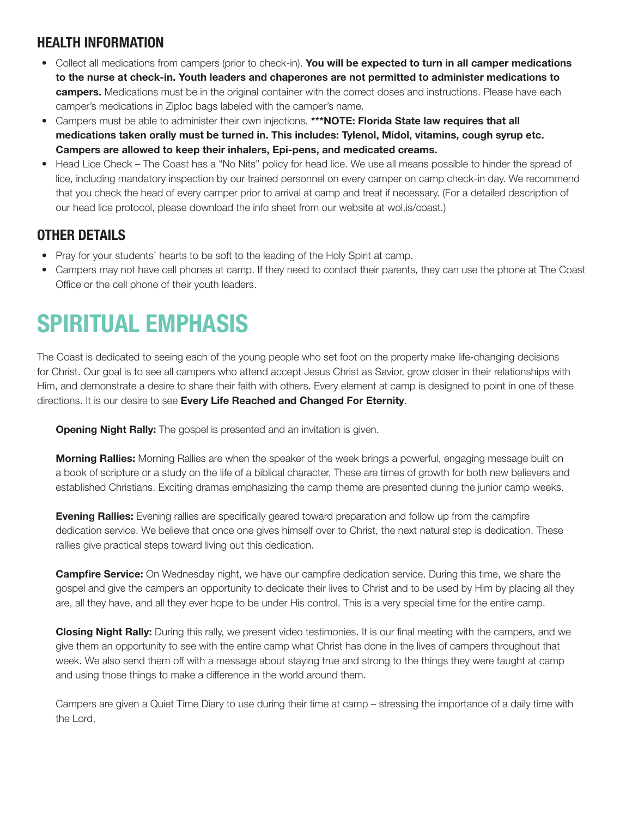# HEALTH INFORMATION

- Collect all medications from campers (prior to check-in). You will be expected to turn in all camper medications to the nurse at check-in. Youth leaders and chaperones are not permitted to administer medications to campers. Medications must be in the original container with the correct doses and instructions. Please have each camper's medications in Ziploc bags labeled with the camper's name.
- Campers must be able to administer their own injections. \*\*\*NOTE: Florida State law requires that all medications taken orally must be turned in. This includes: Tylenol, Midol, vitamins, cough syrup etc. Campers are allowed to keep their inhalers, Epi-pens, and medicated creams.
- Head Lice Check The Coast has a "No Nits" policy for head lice. We use all means possible to hinder the spread of lice, including mandatory inspection by our trained personnel on every camper on camp check-in day. We recommend that you check the head of every camper prior to arrival at camp and treat if necessary. (For a detailed description of our head lice protocol, please download the info sheet from our website at wol.is/coast.)

# OTHER DETAILS

- Pray for your students' hearts to be soft to the leading of the Holy Spirit at camp.
- Campers may not have cell phones at camp. If they need to contact their parents, they can use the phone at The Coast Office or the cell phone of their youth leaders.

# SPIRITUAL EMPHASIS

The Coast is dedicated to seeing each of the young people who set foot on the property make life-changing decisions for Christ. Our goal is to see all campers who attend accept Jesus Christ as Savior, grow closer in their relationships with Him, and demonstrate a desire to share their faith with others. Every element at camp is designed to point in one of these directions. It is our desire to see Every Life Reached and Changed For Eternity.

**Opening Night Rally:** The gospel is presented and an invitation is given.

**Morning Rallies:** Morning Rallies are when the speaker of the week brings a powerful, engaging message built on a book of scripture or a study on the life of a biblical character. These are times of growth for both new believers and established Christians. Exciting dramas emphasizing the camp theme are presented during the junior camp weeks.

**Evening Rallies:** Evening rallies are specifically geared toward preparation and follow up from the campfire dedication service. We believe that once one gives himself over to Christ, the next natural step is dedication. These rallies give practical steps toward living out this dedication.

**Campfire Service:** On Wednesday night, we have our campfire dedication service. During this time, we share the gospel and give the campers an opportunity to dedicate their lives to Christ and to be used by Him by placing all they are, all they have, and all they ever hope to be under His control. This is a very special time for the entire camp.

**Closing Night Rally:** During this rally, we present video testimonies. It is our final meeting with the campers, and we give them an opportunity to see with the entire camp what Christ has done in the lives of campers throughout that week. We also send them off with a message about staying true and strong to the things they were taught at camp and using those things to make a difference in the world around them.

Campers are given a Quiet Time Diary to use during their time at camp – stressing the importance of a daily time with the Lord.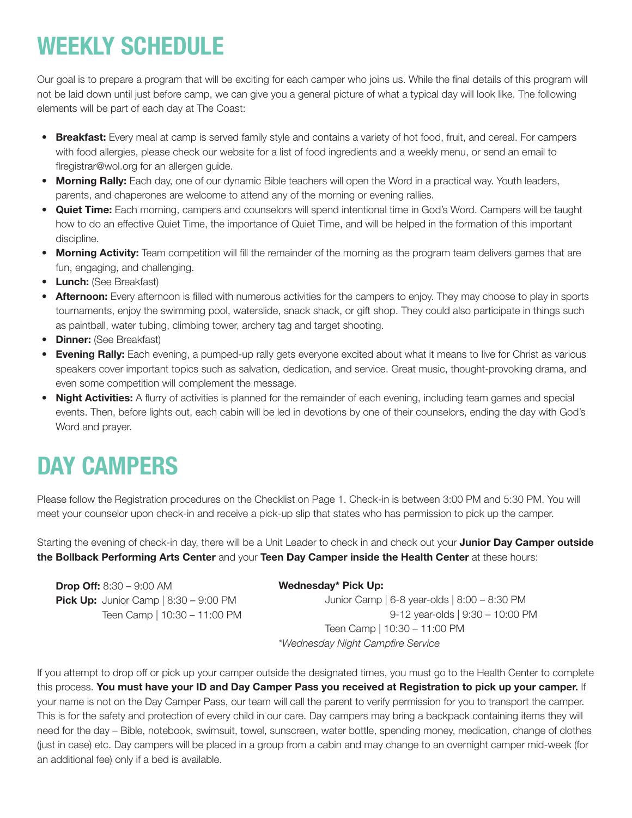# WEEKLY SCHEDULE

Our goal is to prepare a program that will be exciting for each camper who joins us. While the final details of this program will not be laid down until just before camp, we can give you a general picture of what a typical day will look like. The following elements will be part of each day at The Coast:

- Breakfast: Every meal at camp is served family style and contains a variety of hot food, fruit, and cereal. For campers with food allergies, please check our website for a list of food ingredients and a weekly menu, or send an email to flregistrar@wol.org for an allergen guide.
- Morning Rally: Each day, one of our dynamic Bible teachers will open the Word in a practical way. Youth leaders, parents, and chaperones are welcome to attend any of the morning or evening rallies.
- Quiet Time: Each morning, campers and counselors will spend intentional time in God's Word. Campers will be taught how to do an effective Quiet Time, the importance of Quiet Time, and will be helped in the formation of this important discipline.
- Morning Activity: Team competition will fill the remainder of the morning as the program team delivers games that are fun, engaging, and challenging.
- Lunch: (See Breakfast)
- Afternoon: Every afternoon is filled with numerous activities for the campers to enjoy. They may choose to play in sports tournaments, enjoy the swimming pool, waterslide, snack shack, or gift shop. They could also participate in things such as paintball, water tubing, climbing tower, archery tag and target shooting.
- **Dinner:** (See Breakfast)
- Evening Rally: Each evening, a pumped-up rally gets everyone excited about what it means to live for Christ as various speakers cover important topics such as salvation, dedication, and service. Great music, thought-provoking drama, and even some competition will complement the message.
- Night Activities: A flurry of activities is planned for the remainder of each evening, including team games and special events. Then, before lights out, each cabin will be led in devotions by one of their counselors, ending the day with God's Word and prayer.

# DAY CAMPERS

Please follow the Registration procedures on the Checklist on Page 1. Check-in is between 3:00 PM and 5:30 PM. You will meet your counselor upon check-in and receive a pick-up slip that states who has permission to pick up the camper.

Starting the evening of check-in day, there will be a Unit Leader to check in and check out your **Junior Day Camper outside** the Bollback Performing Arts Center and your Teen Day Camper inside the Health Center at these hours:

| <b>Drop Off:</b> $8:30 - 9:00$ AM              | Wednesday* Pick Up:                              |
|------------------------------------------------|--------------------------------------------------|
| <b>Pick Up:</b> Junior Camp   $8:30 - 9:00$ PM | Junior Camp   $6-8$ year-olds   $8:00 - 8:30$ PM |
| Teen Camp   10:30 - 11:00 PM                   | 9-12 year-olds   9:30 - 10:00 PM                 |
|                                                | Teen Camp   10:30 - 11:00 PM                     |
|                                                | *Wednesday Night Campfire Service                |

If you attempt to drop off or pick up your camper outside the designated times, you must go to the Health Center to complete this process. You must have your ID and Day Camper Pass you received at Registration to pick up your camper. If your name is not on the Day Camper Pass, our team will call the parent to verify permission for you to transport the camper. This is for the safety and protection of every child in our care. Day campers may bring a backpack containing items they will need for the day – Bible, notebook, swimsuit, towel, sunscreen, water bottle, spending money, medication, change of clothes (just in case) etc. Day campers will be placed in a group from a cabin and may change to an overnight camper mid-week (for an additional fee) only if a bed is available.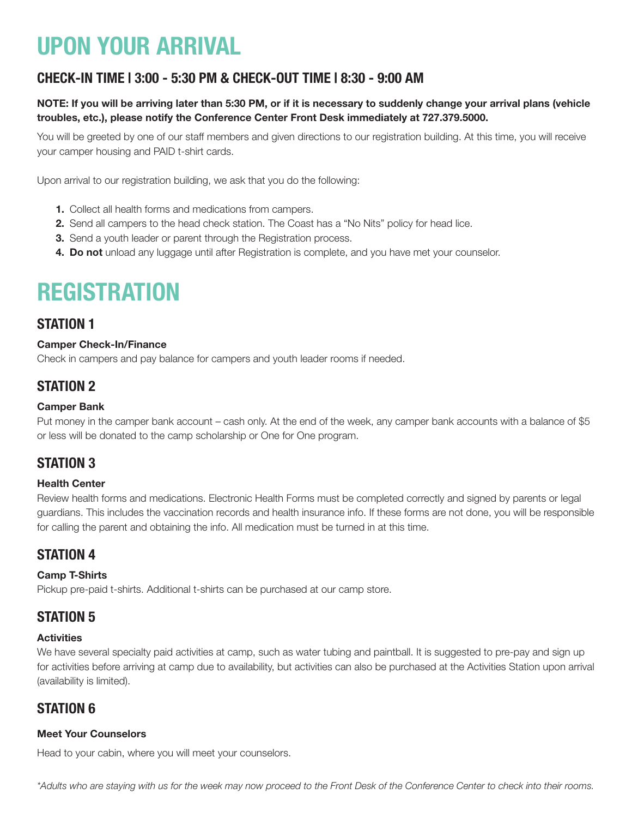# UPON YOUR ARRIVAL

## CHECK-IN TIME | 3:00 - 5:30 PM & CHECK-OUT TIME | 8:30 - 9:00 AM

### NOTE: If you will be arriving later than 5:30 PM, or if it is necessary to suddenly change your arrival plans (vehicle troubles, etc.), please notify the Conference Center Front Desk immediately at 727.379.5000.

You will be greeted by one of our staff members and given directions to our registration building. At this time, you will receive your camper housing and PAID t-shirt cards.

Upon arrival to our registration building, we ask that you do the following:

- 1. Collect all health forms and medications from campers.
- 2. Send all campers to the head check station. The Coast has a "No Nits" policy for head lice.
- **3.** Send a youth leader or parent through the Registration process.
- 4. Do not unload any luggage until after Registration is complete, and you have met your counselor.

# **REGISTRATION**

## STATION 1

### Camper Check-In/Finance

Check in campers and pay balance for campers and youth leader rooms if needed.

## STATION 2

#### Camper Bank

Put money in the camper bank account – cash only. At the end of the week, any camper bank accounts with a balance of \$5 or less will be donated to the camp scholarship or One for One program.

## STATION 3

### Health Center

Review health forms and medications. Electronic Health Forms must be completed correctly and signed by parents or legal guardians. This includes the vaccination records and health insurance info. If these forms are not done, you will be responsible for calling the parent and obtaining the info. All medication must be turned in at this time.

## STATION 4

### Camp T-Shirts

Pickup pre-paid t-shirts. Additional t-shirts can be purchased at our camp store.

## STATION 5

### **Activities**

We have several specialty paid activities at camp, such as water tubing and paintball. It is suggested to pre-pay and sign up for activities before arriving at camp due to availability, but activities can also be purchased at the Activities Station upon arrival (availability is limited).

## STATION 6

### Meet Your Counselors

Head to your cabin, where you will meet your counselors.

*\*Adults who are staying with us for the week may now proceed to the Front Desk of the Conference Center to check into their rooms.*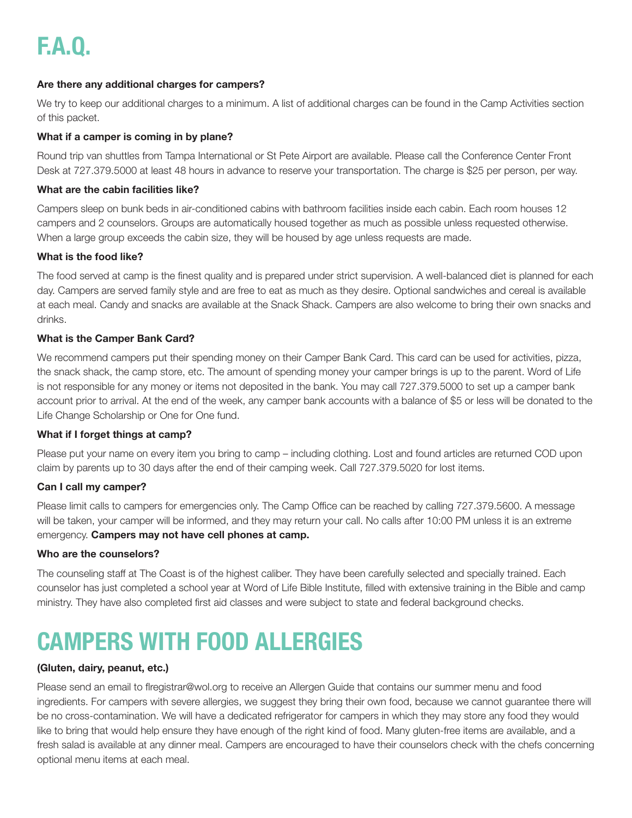# F.A.Q.

### Are there any additional charges for campers?

We try to keep our additional charges to a minimum. A list of additional charges can be found in the Camp Activities section of this packet.

### What if a camper is coming in by plane?

Round trip van shuttles from Tampa International or St Pete Airport are available. Please call the Conference Center Front Desk at 727.379.5000 at least 48 hours in advance to reserve your transportation. The charge is \$25 per person, per way.

### What are the cabin facilities like?

Campers sleep on bunk beds in air-conditioned cabins with bathroom facilities inside each cabin. Each room houses 12 campers and 2 counselors. Groups are automatically housed together as much as possible unless requested otherwise. When a large group exceeds the cabin size, they will be housed by age unless requests are made.

### What is the food like?

The food served at camp is the finest quality and is prepared under strict supervision. A well-balanced diet is planned for each day. Campers are served family style and are free to eat as much as they desire. Optional sandwiches and cereal is available at each meal. Candy and snacks are available at the Snack Shack. Campers are also welcome to bring their own snacks and drinks.

### What is the Camper Bank Card?

We recommend campers put their spending money on their Camper Bank Card. This card can be used for activities, pizza, the snack shack, the camp store, etc. The amount of spending money your camper brings is up to the parent. Word of Life is not responsible for any money or items not deposited in the bank. You may call 727.379.5000 to set up a camper bank account prior to arrival. At the end of the week, any camper bank accounts with a balance of \$5 or less will be donated to the Life Change Scholarship or One for One fund.

### What if I forget things at camp?

Please put your name on every item you bring to camp – including clothing. Lost and found articles are returned COD upon claim by parents up to 30 days after the end of their camping week. Call 727.379.5020 for lost items.

### Can I call my camper?

Please limit calls to campers for emergencies only. The Camp Office can be reached by calling 727.379.5600. A message will be taken, your camper will be informed, and they may return your call. No calls after 10:00 PM unless it is an extreme emergency. Campers may not have cell phones at camp.

### Who are the counselors?

The counseling staff at The Coast is of the highest caliber. They have been carefully selected and specially trained. Each counselor has just completed a school year at Word of Life Bible Institute, filled with extensive training in the Bible and camp ministry. They have also completed first aid classes and were subject to state and federal background checks.

# CAMPERS WITH FOOD ALLERGIES

### (Gluten, dairy, peanut, etc.)

Please send an email to flregistrar@wol.org to receive an Allergen Guide that contains our summer menu and food ingredients. For campers with severe allergies, we suggest they bring their own food, because we cannot guarantee there will be no cross-contamination. We will have a dedicated refrigerator for campers in which they may store any food they would like to bring that would help ensure they have enough of the right kind of food. Many gluten-free items are available, and a fresh salad is available at any dinner meal. Campers are encouraged to have their counselors check with the chefs concerning optional menu items at each meal.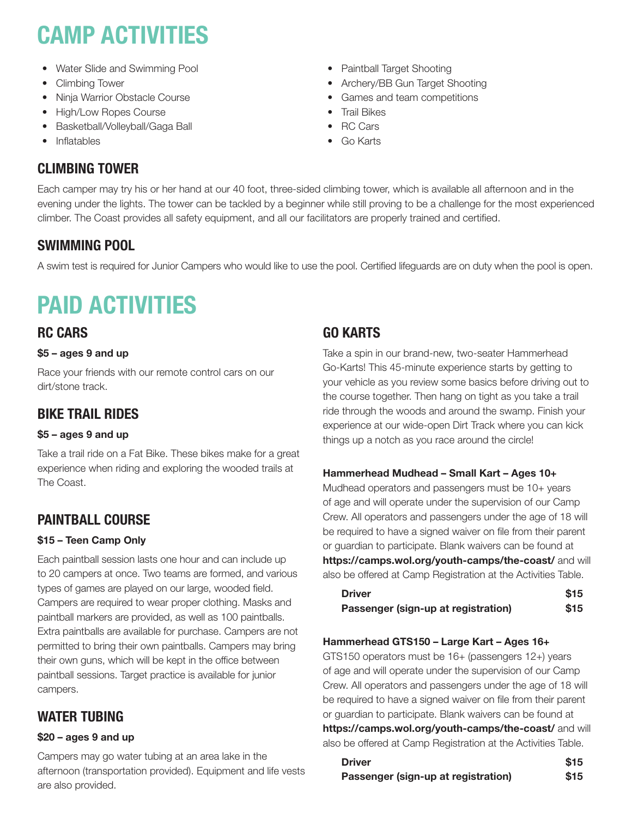# CAMP ACTIVITIES

- Water Slide and Swimming Pool
- Climbing Tower
- Ninja Warrior Obstacle Course
- High/Low Ropes Course
- Basketball/Volleyball/Gaga Ball
- Inflatables

## • Paintball Target Shooting

- Archery/BB Gun Target Shooting
- Games and team competitions
- Trail Bikes
- RC Cars
- Go Karts

# CLIMBING TOWER

Each camper may try his or her hand at our 40 foot, three-sided climbing tower, which is available all afternoon and in the evening under the lights. The tower can be tackled by a beginner while still proving to be a challenge for the most experienced climber. The Coast provides all safety equipment, and all our facilitators are properly trained and certified.

# SWIMMING POOL

A swim test is required for Junior Campers who would like to use the pool. Certified lifeguards are on duty when the pool is open.

# PAID ACTIVITIES

## RC CARS

## \$5 – ages 9 and up

Race your friends with our remote control cars on our dirt/stone track.

# BIKE TRAIL RIDES

## \$5 – ages 9 and up

Take a trail ride on a Fat Bike. These bikes make for a great experience when riding and exploring the wooded trails at The Coast.

# PAINTBALL COURSE

## \$15 – Teen Camp Only

Each paintball session lasts one hour and can include up to 20 campers at once. Two teams are formed, and various types of games are played on our large, wooded field. Campers are required to wear proper clothing. Masks and paintball markers are provided, as well as 100 paintballs. Extra paintballs are available for purchase. Campers are not permitted to bring their own paintballs. Campers may bring their own guns, which will be kept in the office between paintball sessions. Target practice is available for junior campers.

# WATER TUBING

## \$20 – ages 9 and up

Campers may go water tubing at an area lake in the afternoon (transportation provided). Equipment and life vests are also provided.

# GO KARTS

Take a spin in our brand-new, two-seater Hammerhead Go-Karts! This 45-minute experience starts by getting to your vehicle as you review some basics before driving out to the course together. Then hang on tight as you take a trail ride through the woods and around the swamp. Finish your experience at our wide-open Dirt Track where you can kick things up a notch as you race around the circle!

## Hammerhead Mudhead – Small Kart – Ages 10+

Mudhead operators and passengers must be 10+ years of age and will operate under the supervision of our Camp Crew. All operators and passengers under the age of 18 will be required to have a signed waiver on file from their parent or guardian to participate. Blank waivers can be found at https://camps.wol.org/youth-camps/the-coast/ and will also be offered at Camp Registration at the Activities Table.

| <b>Driver</b>                       | \$15 |
|-------------------------------------|------|
| Passenger (sign-up at registration) | \$15 |

## Hammerhead GTS150 – Large Kart – Ages 16+

GTS150 operators must be 16+ (passengers 12+) years of age and will operate under the supervision of our Camp Crew. All operators and passengers under the age of 18 will be required to have a signed waiver on file from their parent or guardian to participate. Blank waivers can be found at https://camps.wol.org/youth-camps/the-coast/ and will also be offered at Camp Registration at the Activities Table.

| <b>Driver</b>                       | <b>S15</b> |
|-------------------------------------|------------|
| Passenger (sign-up at registration) | \$15       |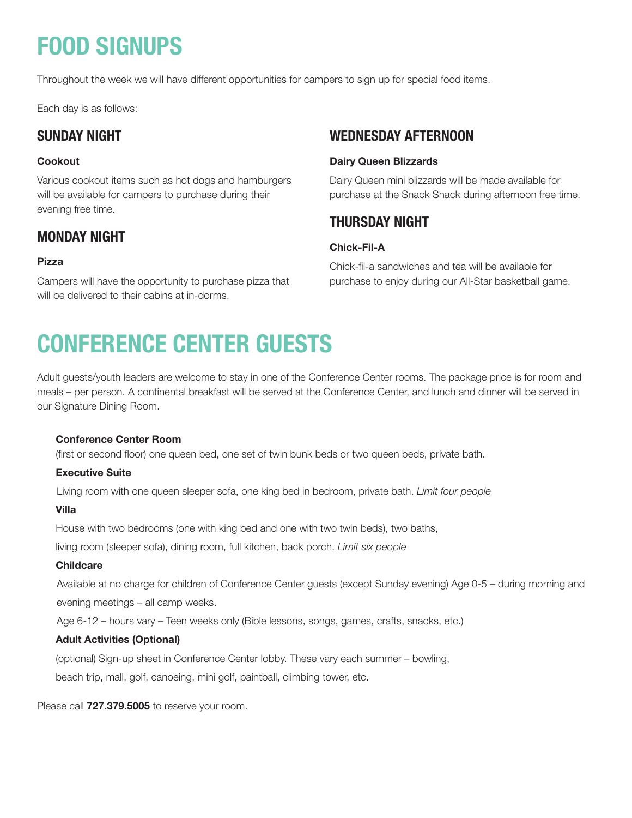# FOOD SIGNUPS

Throughout the week we will have different opportunities for campers to sign up for special food items.

Each day is as follows:

## SUNDAY NIGHT

### Cookout

Various cookout items such as hot dogs and hamburgers will be available for campers to purchase during their evening free time.

## MONDAY NIGHT

### Pizza

Campers will have the opportunity to purchase pizza that will be delivered to their cabins at in-dorms.

## WEDNESDAY AFTERNOON

### Dairy Queen Blizzards

Dairy Queen mini blizzards will be made available for purchase at the Snack Shack during afternoon free time.

## THURSDAY NIGHT

### Chick-Fil-A

Chick-fil-a sandwiches and tea will be available for purchase to enjoy during our All-Star basketball game.

# CONFERENCE CENTER GUESTS

Adult guests/youth leaders are welcome to stay in one of the Conference Center rooms. The package price is for room and meals – per person. A continental breakfast will be served at the Conference Center, and lunch and dinner will be served in our Signature Dining Room.

### Conference Center Room

(first or second floor) one queen bed, one set of twin bunk beds or two queen beds, private bath.

### Executive Suite

Living room with one queen sleeper sofa, one king bed in bedroom, private bath. *Limit four people*

### Villa

House with two bedrooms (one with king bed and one with two twin beds), two baths,

living room (sleeper sofa), dining room, full kitchen, back porch. *Limit six people*

### Childcare

Available at no charge for children of Conference Center guests (except Sunday evening) Age 0-5 – during morning and evening meetings – all camp weeks.

Age 6-12 – hours vary – Teen weeks only (Bible lessons, songs, games, crafts, snacks, etc.)

### Adult Activities (Optional)

(optional) Sign-up sheet in Conference Center lobby. These vary each summer – bowling,

beach trip, mall, golf, canoeing, mini golf, paintball, climbing tower, etc.

Please call **727.379.5005** to reserve your room.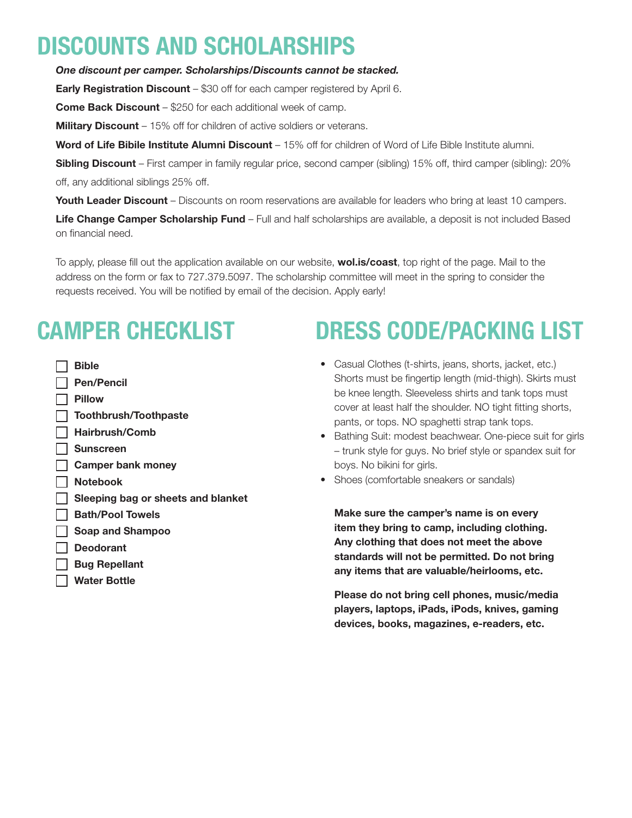# DISCOUNTS AND SCHOLARSHIPS

*One discount per camper. Scholarships/Discounts cannot be stacked.*

**Early Registration Discount** – \$30 off for each camper registered by April 6.

**Come Back Discount** – \$250 for each additional week of camp.

**Military Discount** – 15% off for children of active soldiers or veterans.

Word of Life Bibile Institute Alumni Discount - 15% off for children of Word of Life Bible Institute alumni.

Sibling Discount – First camper in family regular price, second camper (sibling) 15% off, third camper (sibling): 20% off, any additional siblings 25% off.

Youth Leader Discount – Discounts on room reservations are available for leaders who bring at least 10 campers.

Life Change Camper Scholarship Fund – Full and half scholarships are available, a deposit is not included Based on financial need.

To apply, please fill out the application available on our website, **wol.is/coast**, top right of the page. Mail to the address on the form or fax to 727.379.5097. The scholarship committee will meet in the spring to consider the requests received. You will be notified by email of the decision. Apply early!

# CAMPER CHECKLIST

 $\Box$  Bible Pen/Pencil Pillow  $\Box$  Toothbrush/Toothpaste Hairbrush/Comb Sunscreen **Camper bank money** Notebook Sleeping bag or sheets and blanket **Bath/Pool Towels** | Soap and Shampoo Deodorant Bug Repellant Water Bottle

# DRESS CODE/PACKING LIST

- Casual Clothes (t-shirts, jeans, shorts, jacket, etc.) Shorts must be fingertip length (mid-thigh). Skirts must be knee length. Sleeveless shirts and tank tops must cover at least half the shoulder. NO tight fitting shorts, pants, or tops. NO spaghetti strap tank tops.
- Bathing Suit: modest beachwear. One-piece suit for girls – trunk style for guys. No brief style or spandex suit for boys. No bikini for girls.
- Shoes (comfortable sneakers or sandals)

Make sure the camper's name is on every item they bring to camp, including clothing. Any clothing that does not meet the above standards will not be permitted. Do not bring any items that are valuable/heirlooms, etc.

Please do not bring cell phones, music/media players, laptops, iPads, iPods, knives, gaming devices, books, magazines, e-readers, etc.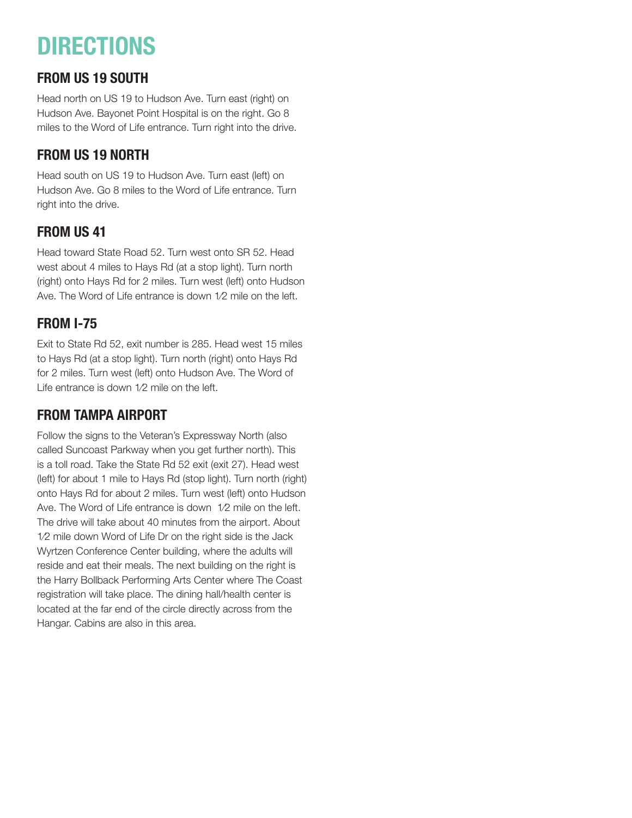# **DIRECTIONS**

# FROM US 19 SOUTH

Head north on US 19 to Hudson Ave. Turn east (right) on Hudson Ave. Bayonet Point Hospital is on the right. Go 8 miles to the Word of Life entrance. Turn right into the drive.

# FROM US 19 NORTH

Head south on US 19 to Hudson Ave. Turn east (left) on Hudson Ave. Go 8 miles to the Word of Life entrance. Turn right into the drive.

# FROM US 41

Head toward State Road 52. Turn west onto SR 52. Head west about 4 miles to Hays Rd (at a stop light). Turn north (right) onto Hays Rd for 2 miles. Turn west (left) onto Hudson Ave. The Word of Life entrance is down 1⁄2 mile on the left.

# FROM I-75

Exit to State Rd 52, exit number is 285. Head west 15 miles to Hays Rd (at a stop light). Turn north (right) onto Hays Rd for 2 miles. Turn west (left) onto Hudson Ave. The Word of Life entrance is down 1/2 mile on the left.

# FROM TAMPA AIRPORT

Follow the signs to the Veteran's Expressway North (also called Suncoast Parkway when you get further north). This is a toll road. Take the State Rd 52 exit (exit 27). Head west (left) for about 1 mile to Hays Rd (stop light). Turn north (right) onto Hays Rd for about 2 miles. Turn west (left) onto Hudson Ave. The Word of Life entrance is down 1⁄2 mile on the left. The drive will take about 40 minutes from the airport. About 1⁄2 mile down Word of Life Dr on the right side is the Jack Wyrtzen Conference Center building, where the adults will reside and eat their meals. The next building on the right is the Harry Bollback Performing Arts Center where The Coast registration will take place. The dining hall/health center is located at the far end of the circle directly across from the Hangar. Cabins are also in this area.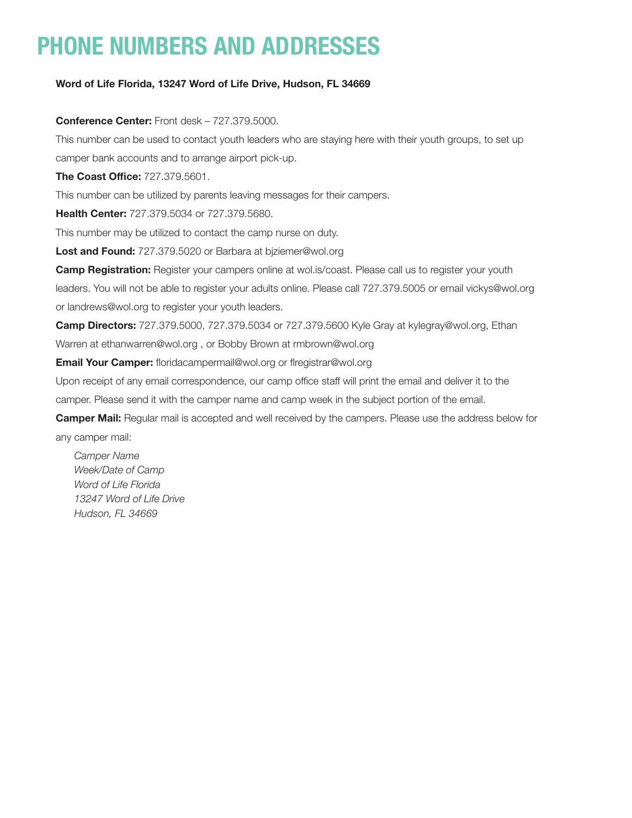# PHONE NUMBERS AND ADDRESSES

### Word of Life Florida, 13247 Word of Life Drive, Hudson, FL 34669

Conference Center: Front desk – 727.379.5000.

This number can be used to contact youth leaders who are staying here with their youth groups, to set up camper bank accounts and to arrange airport pick-up.

The Coast Office: 727.379.5601.

This number can be utilized by parents leaving messages for their campers.

**Health Center: 727,379,5034 or 727,379,5680.** 

This number may be utilized to contact the camp nurse on duty.

Lost and Found: 727.379.5020 or Barbara at biziemer@wol.org

**Camp Registration:** Register your campers online at wol.is/coast. Please call us to register your youth leaders. You will not be able to register your adults online. Please call 727.379.5005 or email vickys@wol.org or landrews@wol.org to register your youth leaders.

**Camp Directors:** 727.379.5000, 727.379.5034 or 727.379.5600 Kyle Gray at kylegray@wol.org, Ethan Warren at ethanwarren@wol.org , or Bobby Brown at rmbrown@wol.org

**Email Your Camper:** floridacampermail@wol.org or flregistrar@wol.org

Upon receipt of any email correspondence, our camp office staff will print the email and deliver it to the

camper. Please send it with the camper name and camp week in the subject portion of the email.

Camper Mail: Regular mail is accepted and well received by the campers. Please use the address below for any camper mail:

*Camper Name Week/Date of Camp Word of Life Florida 13247 Word of Life Drive Hudson, FL 34669*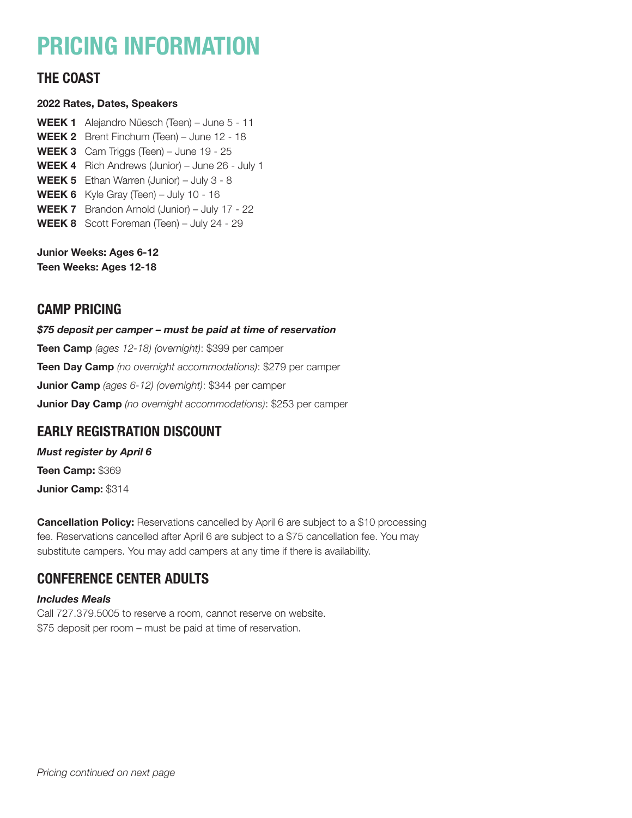# PRICING INFORMATION

## THE COAST

### 2022 Rates, Dates, Speakers

WEEK 1 Alejandro Nüesch (Teen) – June 5 - 11 WEEK 2 Brent Finchum (Teen) – June 12 - 18 WEEK 3 Cam Triggs (Teen) – June 19 - 25 WEEK 4 Rich Andrews (Junior) – June 26 - July 1 WEEK 5 Ethan Warren (Junior) – July 3 - 8 WEEK 6 Kyle Gray (Teen) - July 10 - 16 WEEK 7 Brandon Arnold (Junior) – July 17 - 22 WEEK 8 Scott Foreman (Teen) – July 24 - 29

Junior Weeks: Ages 6-12 Teen Weeks: Ages 12-18

## CAMP PRICING

*\$75 deposit per camper – must be paid at time of reservation* Teen Camp *(ages 12-18) (overnight)*: \$399 per camper Teen Day Camp *(no overnight accommodations)*: \$279 per camper Junior Camp *(ages 6-12) (overnight)*: \$344 per camper Junior Day Camp *(no overnight accommodations)*: \$253 per camper

## EARLY REGISTRATION DISCOUNT

*Must register by April 6* Teen Camp: \$369 Junior Camp: \$314

**Cancellation Policy:** Reservations cancelled by April 6 are subject to a \$10 processing fee. Reservations cancelled after April 6 are subject to a \$75 cancellation fee. You may substitute campers. You may add campers at any time if there is availability.

# CONFERENCE CENTER ADULTS

### *Includes Meals*

Call 727.379.5005 to reserve a room, cannot reserve on website. \$75 deposit per room – must be paid at time of reservation.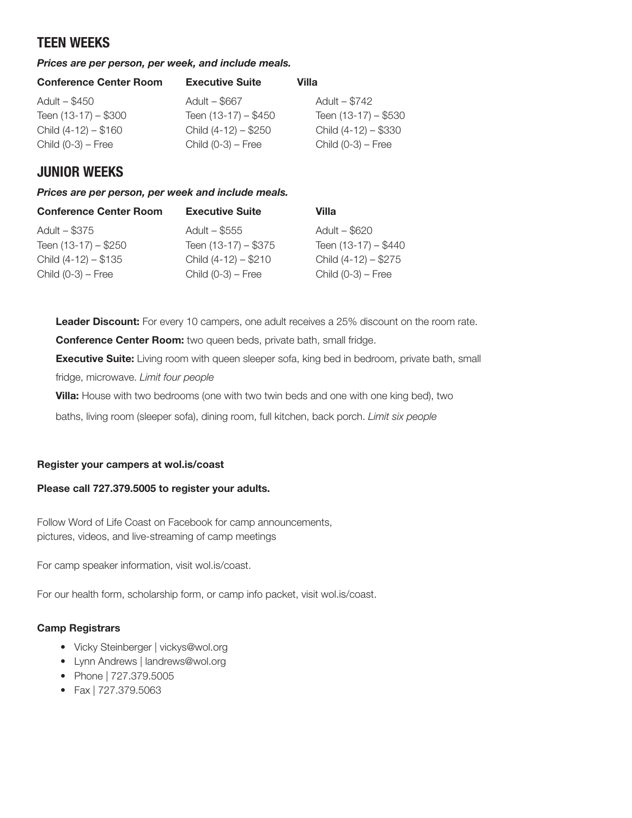## TEEN WEEKS

### *Prices are per person, per week, and include meals.*

| <b>Executive Suite</b> | Villa                 |
|------------------------|-----------------------|
| Adult - \$667          | Adult - \$742         |
| Teen $(13-17) - $450$  | Teen $(13-17) - $530$ |
| Child $(4-12) - $250$  | Child $(4-12) - $330$ |
| Child $(0-3)$ – Free   | Child $(0-3)$ – Free  |
|                        |                       |

## JUNIOR WEEKS

*Prices are per person, per week and include meals.* 

| <b>Conference Center Room</b> | <b>Executive Suite</b> | Villa                 |
|-------------------------------|------------------------|-----------------------|
| Adult – \$375                 | Adult - \$555          | Adult - \$620         |
| Teen $(13-17) - $250$         | Teen $(13-17) - $375$  | Teen (13-17) - \$440  |
| Child $(4-12) - $135$         | Child (4-12) - \$210   | Child $(4-12) - $275$ |
| Child $(0-3)$ – Free          | Child $(0-3)$ – Free   | Child $(0-3)$ – Free  |
|                               |                        |                       |

Leader Discount: For every 10 campers, one adult receives a 25% discount on the room rate.

Conference Center Room: two queen beds, private bath, small fridge.

**Executive Suite:** Living room with queen sleeper sofa, king bed in bedroom, private bath, small

fridge, microwave. *Limit four people*

**Villa:** House with two bedrooms (one with two twin beds and one with one king bed), two

baths, living room (sleeper sofa), dining room, full kitchen, back porch. *Limit six people*

### Register your campers at wol.is/coast

### Please call 727.379.5005 to register your adults.

Follow Word of Life Coast on Facebook for camp announcements, pictures, videos, and live-streaming of camp meetings

For camp speaker information, visit wol.is/coast.

For our health form, scholarship form, or camp info packet, visit wol.is/coast.

### Camp Registrars

- Vicky Steinberger | vickys@wol.org
- Lynn Andrews | landrews@wol.org
- Phone | 727.379.5005
- Fax | 727.379.5063